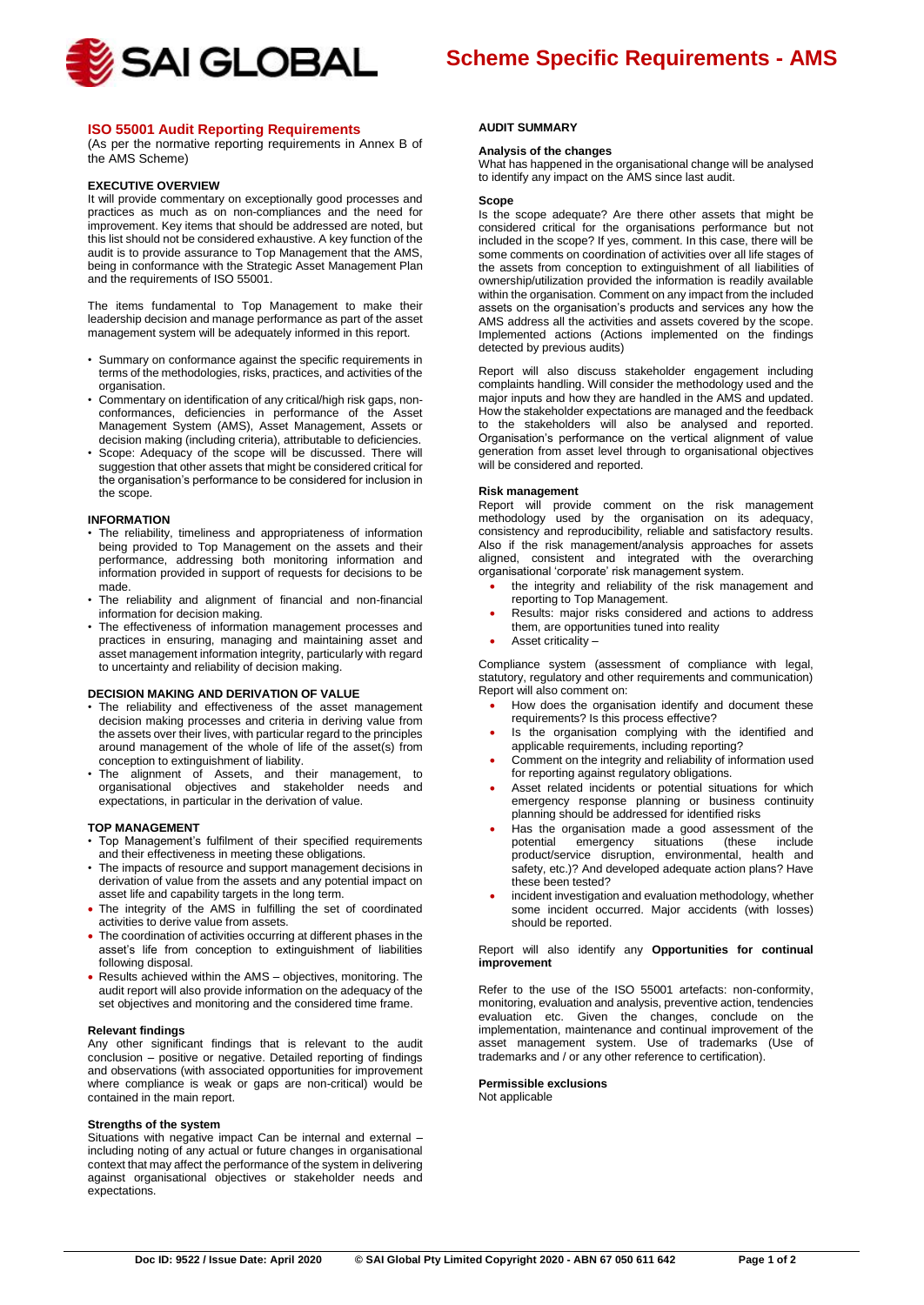

# **ISO 55001 Audit Reporting Requirements**

(As per the normative reporting requirements in Annex B of the AMS Scheme)

#### **EXECUTIVE OVERVIEW**

It will provide commentary on exceptionally good processes and practices as much as on non-compliances and the need for improvement. Key items that should be addressed are noted, but this list should not be considered exhaustive. A key function of the audit is to provide assurance to Top Management that the AMS, being in conformance with the Strategic Asset Management Plan and the requirements of ISO 55001.

The items fundamental to Top Management to make their leadership decision and manage performance as part of the asset management system will be adequately informed in this report.

- Summary on conformance against the specific requirements in terms of the methodologies, risks, practices, and activities of the organisation.
- Commentary on identification of any critical/high risk gaps, nonconformances, deficiencies in performance of the Asset Management System (AMS), Asset Management, Assets or decision making (including criteria), attributable to deficiencies.
- Scope: Adequacy of the scope will be discussed. There will suggestion that other assets that might be considered critical for the organisation's performance to be considered for inclusion in the scope.

#### **INFORMATION**

- The reliability, timeliness and appropriateness of information being provided to Top Management on the assets and their performance, addressing both monitoring information and information provided in support of requests for decisions to be made.
- The reliability and alignment of financial and non-financial information for decision making.
- The effectiveness of information management processes and practices in ensuring, managing and maintaining asset and asset management information integrity, particularly with regard to uncertainty and reliability of decision making.

## **DECISION MAKING AND DERIVATION OF VALUE**

- The reliability and effectiveness of the asset management decision making processes and criteria in deriving value from the assets over their lives, with particular regard to the principles around management of the whole of life of the asset(s) from conception to extinguishment of liability.
- The alignment of Assets, and their management, to organisational objectives and stakeholder needs and expectations, in particular in the derivation of value.

### **TOP MANAGEMENT**

- Top Management's fulfilment of their specified requirements and their effectiveness in meeting these obligations.
- The impacts of resource and support management decisions in derivation of value from the assets and any potential impact on asset life and capability targets in the long term.
- The integrity of the AMS in fulfilling the set of coordinated activities to derive value from assets.
- The coordination of activities occurring at different phases in the asset's life from conception to extinguishment of liabilities following disposal.
- Results achieved within the AMS objectives, monitoring. The audit report will also provide information on the adequacy of the set objectives and monitoring and the considered time frame.

#### **Relevant findings**

Any other significant findings that is relevant to the audit conclusion – positive or negative. Detailed reporting of findings and observations (with associated opportunities for improvement where compliance is weak or gaps are non-critical) would be contained in the main report.

## **Strengths of the system**

Situations with negative impact Can be internal and external – including noting of any actual or future changes in organisational context that may affect the performance of the system in delivering against organisational objectives or stakeholder needs and expectations.

#### **AUDIT SUMMARY**

## **Analysis of the changes**

What has happened in the organisational change will be analysed to identify any impact on the AMS since last audit.

#### **Scope**

Is the scope adequate? Are there other assets that might be considered critical for the organisations performance but not included in the scope? If yes, comment. In this case, there will be some comments on coordination of activities over all life stages of the assets from conception to extinguishment of all liabilities of ownership/utilization provided the information is readily available within the organisation. Comment on any impact from the included assets on the organisation's products and services any how the AMS address all the activities and assets covered by the scope. Implemented actions (Actions implemented on the findings detected by previous audits)

Report will also discuss stakeholder engagement including complaints handling. Will consider the methodology used and the major inputs and how they are handled in the AMS and updated. How the stakeholder expectations are managed and the feedback to the stakeholders will also be analysed and reported. Organisation's performance on the vertical alignment of value generation from asset level through to organisational objectives will be considered and reported.

### **Risk management**

Report will provide comment on the risk management methodology used by the organisation on its adequacy, consistency and reproducibility, reliable and satisfactory results. Also if the risk management/analysis approaches for assets aligned, consistent and integrated with the overarching organisational 'corporate' risk management system.

- the integrity and reliability of the risk management and reporting to Top Management.
- Results: major risks considered and actions to address them, are opportunities tuned into reality
- Asset criticality –

Compliance system (assessment of compliance with legal, statutory, regulatory and other requirements and communication) Report will also comment on:

- How does the organisation identify and document these requirements? Is this process effective?
- Is the organisation complying with the identified and applicable requirements, including reporting?
- Comment on the integrity and reliability of information used for reporting against regulatory obligations.
- Asset related incidents or potential situations for which emergency response planning or business continuity planning should be addressed for identified risks
- Has the organisation made a good assessment of the potential emergency situations (these include emergency situations (these include product/service disruption, environmental, health and safety, etc.)? And developed adequate action plans? Have these been tested?
- incident investigation and evaluation methodology, whether some incident occurred. Major accidents (with losses) should be reported.

### Report will also identify any **Opportunities for continual improvement**

Refer to the use of the ISO 55001 artefacts: non-conformity, monitoring, evaluation and analysis, preventive action, tendencies evaluation etc. Given the changes, conclude on the implementation, maintenance and continual improvement of the asset management system. Use of trademarks (Use of trademarks and / or any other reference to certification).

## **Permissible exclusions**

Not applicable